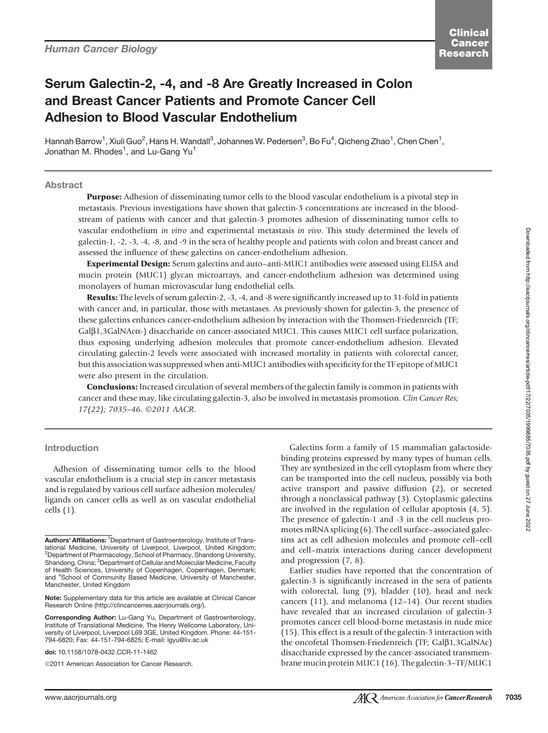# Serum Galectin-2, -4, and -8 Are Greatly Increased in Colon and Breast Cancer Patients and Promote Cancer Cell Adhesion to Blood Vascular Endothelium

Hannah Barrow<sup>1</sup>, Xiuli Guo<sup>2</sup>, Hans H. Wandall<sup>3</sup>, Johannes W. Pedersen<sup>3</sup>, Bo Fu<sup>4</sup>, Qicheng Zhao<sup>1</sup>, Chen Chen<sup>1</sup>, Jonathan M. Rhodes<sup>1</sup>, and Lu-Gang Yu<sup>1</sup>

Abstract

Purpose: Adhesion of disseminating tumor cells to the blood vascular endothelium is a pivotal step in metastasis. Previous investigations have shown that galectin-3 concentrations are increased in the bloodstream of patients with cancer and that galectin-3 promotes adhesion of disseminating tumor cells to vascular endothelium in vitro and experimental metastasis in vivo. This study determined the levels of galectin-1, -2, -3, -4, -8, and -9 in the sera of healthy people and patients with colon and breast cancer and assessed the influence of these galectins on cancer-endothelium adhesion.

Experimental Design: Serum galectins and auto–anti-MUC1 antibodies were assessed using ELISA and mucin protein (MUC1) glycan microarrays, and cancer-endothelium adhesion was determined using monolayers of human microvascular lung endothelial cells.

Results: The levels of serum galectin-2, -3, -4, and -8 were significantly increased up to 31-fold in patients with cancer and, in particular, those with metastases. As previously shown for galectin-3, the presence of these galectins enhances cancer-endothelium adhesion by interaction with the Thomsen-Friedenreich (TF; Galb1,3GalNAca-) disaccharide on cancer-associated MUC1. This causes MUC1 cell surface polarization, thus exposing underlying adhesion molecules that promote cancer-endothelium adhesion. Elevated circulating galectin-2 levels were associated with increased mortality in patients with colorectal cancer, but this association was suppressed when anti-MUC1 antibodies with specificity for the TF epitope of MUC1 were also present in the circulation.

**Conclusions:** Increased circulation of several members of the galectin family is common in patients with cancer and these may, like circulating galectin-3, also be involved in metastasis promotion. Clin Cancer Res; 17(22); 7035-46. ©2011 AACR.

#### Introduction

Adhesion of disseminating tumor cells to the blood vascular endothelium is a crucial step in cancer metastasis and is regulated by various cell surface adhesion molecules/ ligands on cancer cells as well as on vascular endothelial cells (1).

©2011 American Association for Cancer Research.

Galectins form a family of 15 mammalian galactosidebinding proteins expressed by many types of human cells. They are synthesized in the cell cytoplasm from where they can be transported into the cell nucleus, possibly via both active transport and passive diffusion (2), or secreted through a nonclassical pathway (3). Cytoplasmic galectins are involved in the regulation of cellular apoptosis (4, 5). The presence of galectin-1 and -3 in the cell nucleus promotes mRNA splicing (6). The cell surface–associated galectins act as cell adhesion molecules and promote cell–cell and cell–matrix interactions during cancer development and progression (7, 8).

Earlier studies have reported that the concentration of galectin-3 is significantly increased in the sera of patients with colorectal, lung (9), bladder (10), head and neck cancers (11), and melanoma (12–14). Our recent studies have revealed that an increased circulation of galectin-3 promotes cancer cell blood-borne metastasis in nude mice (15). This effect is a result of the galectin-3 interaction with the oncofetal Thomsen-Friedenreich (TF; Galß1,3GalNAc) disaccharide expressed by the cancer-associated transmembrane mucin protein MUC1 (16). The galectin-3–TF/MUC1

Authors' Affiliations: <sup>1</sup> Department of Gastroenterology, Institute of Translational Medicine, University of Liverpool, Liverpool, United Kingdom; 2 Department of Pharmacology, School of Pharmacy, Shandong University, Shandong, China; <sup>3</sup>Department of Cellular and Molecular Medicine, Faculty of Health Sciences, University of Copenhagen, Copenhagen, Denmark; and <sup>4</sup> School of Community Based Medicine, University of Manchester, Manchester, United Kingdom

Note: Supplementary data for this article are available at Clinical Cancer Research Online (http://clincancerres.aacrjournals.org/).

Corresponding Author: Lu-Gang Yu, Department of Gastroenterology, Institute of Translational Medicine, The Henry Wellcome Laboratory, University of Liverpool, Liverpool L69 3GE, United Kingdom. Phone: 44-151- 794-6820; Fax: 44-151-794-6825; E-mail: lgyu@liv.ac.uk

doi: 10.1158/1078-0432.CCR-11-1462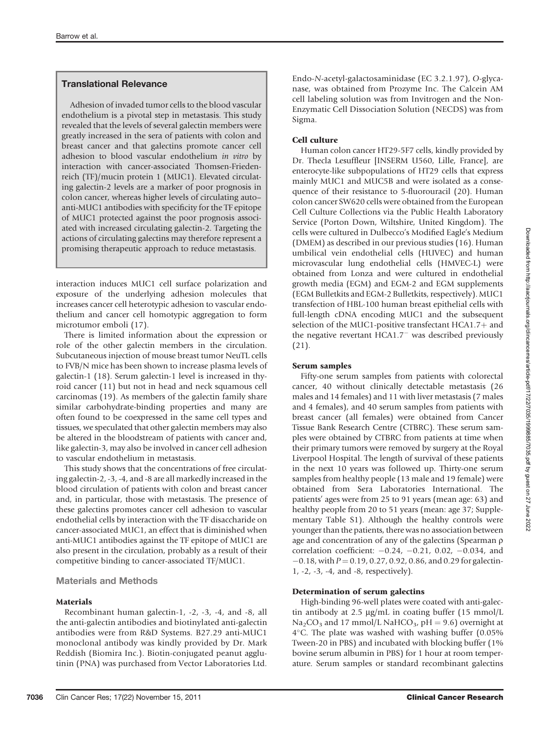# Translational Relevance

Adhesion of invaded tumor cells to the blood vascular endothelium is a pivotal step in metastasis. This study revealed that the levels of several galectin members were greatly increased in the sera of patients with colon and breast cancer and that galectins promote cancer cell adhesion to blood vascular endothelium in vitro by interaction with cancer-associated Thomsen-Friedenreich (TF)/mucin protein 1 (MUC1). Elevated circulating galectin-2 levels are a marker of poor prognosis in colon cancer, whereas higher levels of circulating auto– anti-MUC1 antibodies with specificity for the TF epitope of MUC1 protected against the poor prognosis associated with increased circulating galectin-2. Targeting the actions of circulating galectins may therefore represent a promising therapeutic approach to reduce metastasis.

interaction induces MUC1 cell surface polarization and exposure of the underlying adhesion molecules that increases cancer cell heterotypic adhesion to vascular endothelium and cancer cell homotypic aggregation to form microtumor emboli (17).

There is limited information about the expression or role of the other galectin members in the circulation. Subcutaneous injection of mouse breast tumor NeuTL cells to FVB/N mice has been shown to increase plasma levels of galectin-1 (18). Serum galectin-1 level is increased in thyroid cancer (11) but not in head and neck squamous cell carcinomas (19). As members of the galectin family share similar carbohydrate-binding properties and many are often found to be coexpressed in the same cell types and tissues, we speculated that other galectin members may also be altered in the bloodstream of patients with cancer and, like galectin-3, may also be involved in cancer cell adhesion to vascular endothelium in metastasis.

This study shows that the concentrations of free circulating galectin-2, -3, -4, and -8 are all markedly increased in the blood circulation of patients with colon and breast cancer and, in particular, those with metastasis. The presence of these galectins promotes cancer cell adhesion to vascular endothelial cells by interaction with the TF disaccharide on cancer-associated MUC1, an effect that is diminished when anti-MUC1 antibodies against the TF epitope of MUC1 are also present in the circulation, probably as a result of their competitive binding to cancer-associated TF/MUC1.

# Materials and Methods

# Materials

Recombinant human galectin-1, -2, -3, -4, and -8, all the anti-galectin antibodies and biotinylated anti-galectin antibodies were from R&D Systems. B27.29 anti-MUC1 monoclonal antibody was kindly provided by Dr. Mark Reddish (Biomira Inc.). Biotin-conjugated peanut agglutinin (PNA) was purchased from Vector Laboratories Ltd.

Endo-N-acetyl-galactosaminidase (EC 3.2.1.97), O-glycanase, was obtained from Prozyme Inc. The Calcein AM cell labeling solution was from Invitrogen and the Non-Enzymatic Cell Dissociation Solution (NECDS) was from Sigma.

# Cell culture

Human colon cancer HT29-5F7 cells, kindly provided by Dr. Thecla Lesuffleur [INSERM U560, Lille, France], are enterocyte-like subpopulations of HT29 cells that express mainly MUC1 and MUC5B and were isolated as a consequence of their resistance to 5-fluorouracil (20). Human colon cancer SW620 cells were obtained from the European Cell Culture Collections via the Public Health Laboratory Service (Porton Down, Wiltshire, United Kingdom). The cells were cultured in Dulbecco's Modified Eagle's Medium (DMEM) as described in our previous studies (16). Human umbilical vein endothelial cells (HUVEC) and human microvascular lung endothelial cells (HMVEC-L) were obtained from Lonza and were cultured in endothelial growth media (EGM) and EGM-2 and EGM supplements (EGM Bulletkits and EGM-2 Bulletkits, respectively). MUC1 transfection of HBL-100 human breast epithelial cells with full-length cDNA encoding MUC1 and the subsequent selection of the MUC1-positive transfectant  $HCA1.7+$  and the negative revertant HCA1.7<sup>-</sup> was described previously (21).

# Serum samples

Fifty-one serum samples from patients with colorectal cancer, 40 without clinically detectable metastasis (26 males and 14 females) and 11 with liver metastasis (7 males and 4 females), and 40 serum samples from patients with breast cancer (all females) were obtained from Cancer Tissue Bank Research Centre (CTBRC). These serum samples were obtained by CTBRC from patients at time when their primary tumors were removed by surgery at the Royal Liverpool Hospital. The length of survival of these patients in the next 10 years was followed up. Thirty-one serum samples from healthy people (13 male and 19 female) were obtained from Sera Laboratories International. The patients' ages were from 25 to 91 years (mean age: 63) and healthy people from 20 to 51 years (mean: age 37; Supplementary Table S1). Although the healthy controls were younger than the patients, there was no association between age and concentration of any of the galectins (Spearman  $\rho$ correlation coefficient:  $-0.24$ ,  $-0.21$ ,  $0.02$ ,  $-0.034$ , and  $-0.18$ , with  $P = 0.19$ , 0.27, 0.92, 0.86, and 0.29 for galectin-1, -2, -3, -4, and -8, respectively).

# Determination of serum galectins

High-binding 96-well plates were coated with anti-galectin antibody at 2.5  $\mu$ g/mL in coating buffer (15 mmol/L  $Na<sub>2</sub>CO<sub>3</sub>$  and 17 mmol/L NaHCO<sub>3</sub>, pH = 9.6) overnight at  $4^{\circ}$ C. The plate was washed with washing buffer (0.05% Tween-20 in PBS) and incubated with blocking buffer (1% bovine serum albumin in PBS) for 1 hour at room temperature. Serum samples or standard recombinant galectins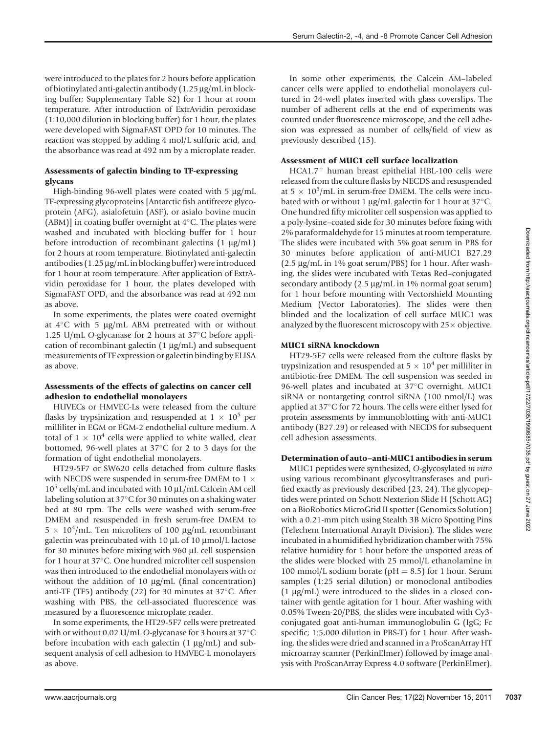were introduced to the plates for 2 hours before application of biotinylated anti-galectin antibody  $(1.25 \,\mu\text{g/mL}$  in blocking buffer; Supplementary Table S2) for 1 hour at room temperature. After introduction of ExtrAvidin peroxidase (1:10,000 dilution in blocking buffer) for 1 hour, the plates were developed with SigmaFAST OPD for 10 minutes. The reaction was stopped by adding 4 mol/L sulfuric acid, and the absorbance was read at 492 nm by a microplate reader.

## Assessments of galectin binding to TF-expressing glycans

High-binding 96-well plates were coated with 5 µg/mL TF-expressing glycoproteins [Antarctic fish antifreeze glycoprotein (AFG), asialofetuin (ASF), or asialo bovine mucin (ABM)] in coating buffer overnight at  $4^{\circ}$ C. The plates were washed and incubated with blocking buffer for 1 hour before introduction of recombinant galectins  $(1 \mu g/mL)$ for 2 hours at room temperature. Biotinylated anti-galectin antibodies  $(1.25 \mu g/mL$  in blocking buffer) were introduced for 1 hour at room temperature. After application of ExtrAvidin peroxidase for 1 hour, the plates developed with SigmaFAST OPD, and the absorbance was read at 492 nm as above.

In some experiments, the plates were coated overnight at  $4^{\circ}$ C with 5  $\mu$ g/mL ABM pretreated with or without 1.25 U/mL O-glycanase for 2 hours at  $37^{\circ}$ C before application of recombinant galectin  $(1 \mu g/mL)$  and subsequent measurements of TF expression or galectin binding by ELISA as above.

## Assessments of the effects of galectins on cancer cell adhesion to endothelial monolayers

HUVECs or HMVEC-Ls were released from the culture flasks by trypsinization and resuspended at  $1 \times 10^5$  per milliliter in EGM or EGM-2 endothelial culture medium. A total of  $1 \times 10^4$  cells were applied to white walled, clear bottomed, 96-well plates at 37°C for 2 to 3 days for the formation of tight endothelial monolayers.

HT29-5F7 or SW620 cells detached from culture flasks with NECDS were suspended in serum-free DMEM to 1  $\times$  $10^5$  cells/mL and incubated with  $10 \mu L/mL$  Calcein AM cell labeling solution at  $37^{\circ}$ C for 30 minutes on a shaking water bed at 80 rpm. The cells were washed with serum-free DMEM and resuspended in fresh serum-free DMEM to  $5 \times 10^4$ /mL. Ten microliters of 100 µg/mL recombinant galectin was preincubated with 10  $\mu$ L of 10  $\mu$ mol/L lactose for 30 minutes before mixing with 960 µL cell suspension for 1 hour at  $37^{\circ}$ C. One hundred microliter cell suspension was then introduced to the endothelial monolayers with or without the addition of 10  $\mu$ g/mL (final concentration) anti-TF (TF5) antibody (22) for 30 minutes at  $37^{\circ}$ C. After washing with PBS, the cell-associated fluorescence was measured by a fluorescence microplate reader.

In some experiments, the HT29-5F7 cells were pretreated with or without 0.02 U/mL O-glycanase for 3 hours at  $37^{\circ}$ C before incubation with each galectin  $(1 \mu g/mL)$  and subsequent analysis of cell adhesion to HMVEC-L monolayers as above.

In some other experiments, the Calcein AM–labeled cancer cells were applied to endothelial monolayers cultured in 24-well plates inserted with glass coverslips. The number of adherent cells at the end of experiments was counted under fluorescence microscope, and the cell adhesion was expressed as number of cells/field of view as previously described (15).

# Assessment of MUC1 cell surface localization

 $HCA1.7<sup>+</sup>$  human breast epithelial HBL-100 cells were released from the culture flasks by NECDS and resuspended at  $5 \times 10^5$ /mL in serum-free DMEM. The cells were incubated with or without 1  $\mu$ g/mL galectin for 1 hour at 37°C. One hundred fifty microliter cell suspension was applied to a poly-lysine–coated side for 30 minutes before fixing with 2% paraformaldehyde for 15 minutes at room temperature. The slides were incubated with 5% goat serum in PBS for 30 minutes before application of anti-MUC1 B27.29  $(2.5 \mu g/mL$  in 1% goat serum/PBS) for 1 hour. After washing, the slides were incubated with Texas Red–conjugated secondary antibody  $(2.5 \mu g/mL$  in 1% normal goat serum) for 1 hour before mounting with Vectorshield Mounting Medium (Vector Laboratories). The slides were then blinded and the localization of cell surface MUC1 was analyzed by the fluorescent microscopy with  $25 \times$  objective.

# MUC1 siRNA knockdown

HT29-5F7 cells were released from the culture flasks by trypsinization and resuspended at  $5 \times 10^4$  per milliliter in antibiotic-free DMEM. The cell suspension was seeded in 96-well plates and incubated at 37°C overnight. MUC1 siRNA or nontargeting control siRNA (100 nmol/L) was applied at  $37^{\circ}$ C for 72 hours. The cells were either lysed for protein assessments by immunoblotting with anti-MUC1 antibody (B27.29) or released with NECDS for subsequent cell adhesion assessments.

# Determination of auto–anti-MUC1 antibodies in serum

MUC1 peptides were synthesized, O-glycosylated in vitro using various recombinant glycosyltransferases and purified exactly as previously described (23, 24). The glycopeptides were printed on Schott Nexterion Slide H (Schott AG) on a BioRobotics MicroGrid II spotter (Genomics Solution) with a 0.21-mm pitch using Stealth 3B Micro Spotting Pins (Telechem International ArrayIt Division). The slides were incubated in a humidified hybridization chamber with 75% relative humidity for 1 hour before the unspotted areas of the slides were blocked with 25 mmol/L ethanolamine in 100 mmol/L sodium borate ( $pH = 8.5$ ) for 1 hour. Serum samples (1:25 serial dilution) or monoclonal antibodies  $(1 \mu g/mL)$  were introduced to the slides in a closed container with gentle agitation for 1 hour. After washing with 0.05% Tween-20/PBS, the slides were incubated with Cy3 conjugated goat anti-human immunoglobulin G (IgG; Fc specific; 1:5,000 dilution in PBS-T) for 1 hour. After washing, the slides were dried and scanned in a ProScanArray HT microarray scanner (PerkinElmer) followed by image analysis with ProScanArray Express 4.0 software (PerkinElmer).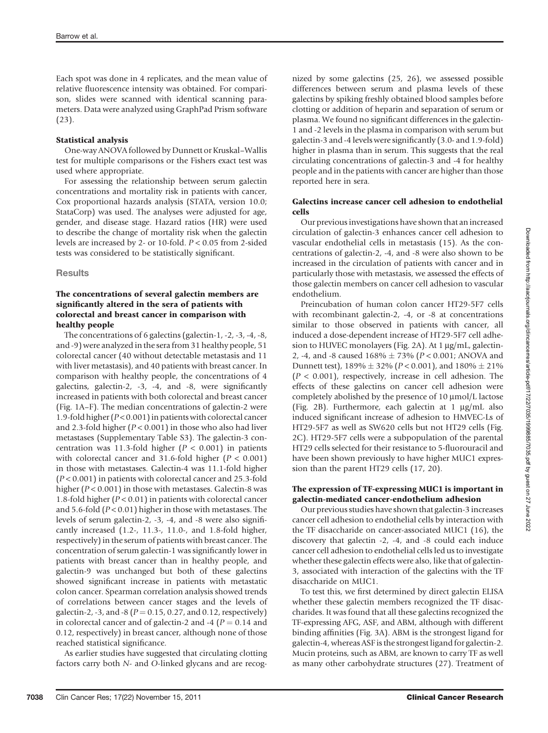Each spot was done in 4 replicates, and the mean value of relative fluorescence intensity was obtained. For comparison, slides were scanned with identical scanning parameters. Data were analyzed using GraphPad Prism software (23).

#### Statistical analysis

One-way ANOVA followed by Dunnett or Kruskal–Wallis test for multiple comparisons or the Fishers exact test was used where appropriate.

For assessing the relationship between serum galectin concentrations and mortality risk in patients with cancer, Cox proportional hazards analysis (STATA, version 10.0; StataCorp) was used. The analyses were adjusted for age, gender, and disease stage. Hazard ratios (HR) were used to describe the change of mortality risk when the galectin levels are increased by 2- or 10-fold. P < 0.05 from 2-sided tests was considered to be statistically significant.

#### **Results**

## The concentrations of several galectin members are significantly altered in the sera of patients with colorectal and breast cancer in comparison with healthy people

The concentrations of 6 galectins (galectin-1, -2, -3, -4, -8, and -9) were analyzed in the sera from 31 healthy people, 51 colorectal cancer (40 without detectable metastasis and 11 with liver metastasis), and 40 patients with breast cancer. In comparison with healthy people, the concentrations of 4 galectins, galectin-2, -3, -4, and -8, were significantly increased in patients with both colorectal and breast cancer (Fig. 1A–F). The median concentrations of galectin-2 were 1.9-fold higher (P < 0.001) in patients with colorectal cancer and 2.3-fold higher ( $P < 0.001$ ) in those who also had liver metastases (Supplementary Table S3). The galectin-3 concentration was 11.3-fold higher ( $P < 0.001$ ) in patients with colorectal cancer and 31.6-fold higher  $(P < 0.001)$ in those with metastases. Galectin-4 was 11.1-fold higher  $(P < 0.001)$  in patients with colorectal cancer and 25.3-fold higher ( $P < 0.001$ ) in those with metastases. Galectin-8 was 1.8-fold higher  $(P < 0.01)$  in patients with colorectal cancer and 5.6-fold ( $P < 0.01$ ) higher in those with metastases. The levels of serum galectin-2, -3, -4, and -8 were also significantly increased (1.2-, 11.3-, 11.0-, and 1.8-fold higher, respectively) in the serum of patients with breast cancer. The concentration of serum galectin-1 was significantly lower in patients with breast cancer than in healthy people, and galectin-9 was unchanged but both of these galectins showed significant increase in patients with metastatic colon cancer. Spearman correlation analysis showed trends of correlations between cancer stages and the levels of galectin-2, -3, and -8 ( $P = 0.15$ , 0.27, and 0.12, respectively) in colorectal cancer and of galectin-2 and -4 ( $P = 0.14$  and 0.12, respectively) in breast cancer, although none of those reached statistical significance.

As earlier studies have suggested that circulating clotting factors carry both N- and O-linked glycans and are recognized by some galectins (25, 26), we assessed possible differences between serum and plasma levels of these galectins by spiking freshly obtained blood samples before clotting or addition of heparin and separation of serum or plasma. We found no significant differences in the galectin-1 and -2 levels in the plasma in comparison with serum but galectin-3 and -4 levels were significantly (3.0- and 1.9-fold) higher in plasma than in serum. This suggests that the real circulating concentrations of galectin-3 and -4 for healthy people and in the patients with cancer are higher than those reported here in sera.

#### Galectins increase cancer cell adhesion to endothelial cells

Our previous investigations have shown that an increased circulation of galectin-3 enhances cancer cell adhesion to vascular endothelial cells in metastasis (15). As the concentrations of galectin-2, -4, and -8 were also shown to be increased in the circulation of patients with cancer and in particularly those with metastasis, we assessed the effects of those galectin members on cancer cell adhesion to vascular endothelium.

Preincubation of human colon cancer HT29-5F7 cells with recombinant galectin-2, -4, or -8 at concentrations similar to those observed in patients with cancer, all induced a dose-dependent increase of HT29-5F7 cell adhesion to HUVEC monolayers (Fig. 2A). At  $1 \mu g/mL$ , galectin-2, -4, and -8 caused  $168\% \pm 73\%$  ( $P < 0.001$ ; ANOVA and Dunnett test),  $189\% \pm 32\%$  (P < 0.001), and  $180\% \pm 21\%$  $(P < 0.001)$ , respectively, increase in cell adhesion. The effects of these galectins on cancer cell adhesion were completely abolished by the presence of  $10 \mu$ mol/L lactose (Fig. 2B). Furthermore, each galectin at  $1 \mu g/mL$  also induced significant increase of adhesion to HMVEC-Ls of HT29-5F7 as well as SW620 cells but not HT29 cells (Fig. 2C). HT29-5F7 cells were a subpopulation of the parental HT29 cells selected for their resistance to 5-fluorouracil and have been shown previously to have higher MUC1 expression than the parent HT29 cells (17, 20).

#### The expression of TF-expressing MUC1 is important in galectin-mediated cancer-endothelium adhesion

Our previous studies have shown that galectin-3 increases cancer cell adhesion to endothelial cells by interaction with the TF disaccharide on cancer-associated MUC1 (16), the discovery that galectin -2, -4, and -8 could each induce cancer cell adhesion to endothelial cells led us to investigate whether these galectin effects were also, like that of galectin-3, associated with interaction of the galectins with the TF disaccharide on MUC1.

To test this, we first determined by direct galectin ELISA whether these galectin members recognized the TF disaccharides. It was found that all these galectins recognized the TF-expressing AFG, ASF, and ABM, although with different binding affinities (Fig. 3A). ABM is the strongest ligand for galectin-4, whereas ASF is the strongest ligand for galectin-2. Mucin proteins, such as ABM, are known to carry TF as well as many other carbohydrate structures (27). Treatment of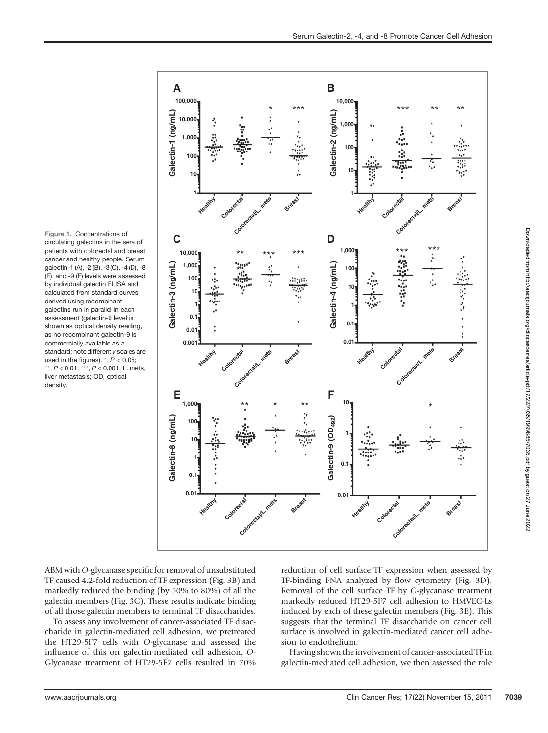ABM with O-glycanase specific for removal of unsubstituted TF caused 4.2-fold reduction of TF expression (Fig. 3B) and markedly reduced the binding (by 50% to 80%) of all the galectin members (Fig. 3C). These results indicate binding of all those galectin members to terminal TF disaccharides.

To assess any involvement of cancer-associated TF disaccharide in galectin-mediated cell adhesion, we pretreated the HT29-5F7 cells with O-glycanase and assessed the influence of this on galectin-mediated cell adhesion. O-Glycanase treatment of HT29-5F7 cells resulted in 70%

reduction of cell surface TF expression when assessed by TF-binding PNA analyzed by flow cytometry (Fig. 3D). Removal of the cell surface TF by O-glycanase treatment markedly reduced HT29-5F7 cell adhesion to HMVEC-Ls induced by each of these galectin members (Fig. 3E). This suggests that the terminal TF disaccharide on cancer cell surface is involved in galectin-mediated cancer cell adhesion to endothelium.

Having shown the involvement of cancer-associated TF in galectin-mediated cell adhesion, we then assessed the role

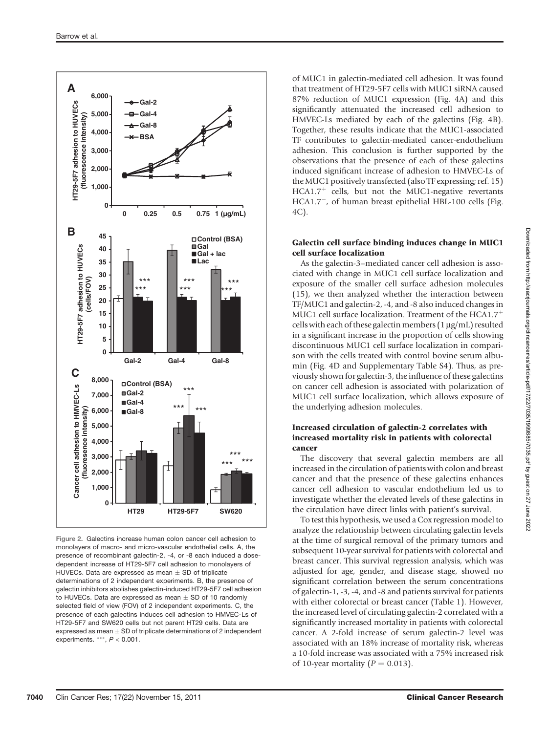

Figure 2. Galectins increase human colon cancer cell adhesion to monolayers of macro- and micro-vascular endothelial cells. A, the presence of recombinant galectin-2, -4, or -8 each induced a dosedependent increase of HT29-5F7 cell adhesion to monolayers of HUVECs. Data are expressed as mean  $\pm$  SD of triplicate determinations of 2 independent experiments. B, the presence of galectin inhibitors abolishes galectin-induced HT29-5F7 cell adhesion to HUVECs. Data are expressed as mean  $\pm$  SD of 10 randomly selected field of view (FOV) of 2 independent experiments. C, the presence of each galectins induces cell adhesion to HMVEC-Ls of HT29-5F7 and SW620 cells but not parent HT29 cells. Data are expressed as mean  $+$  SD of triplicate determinations of 2 independent experiments. \*\*\*,  $P < 0.001$ .

of MUC1 in galectin-mediated cell adhesion. It was found that treatment of HT29-5F7 cells with MUC1 siRNA caused 87% reduction of MUC1 expression (Fig. 4A) and this significantly attenuated the increased cell adhesion to HMVEC-Ls mediated by each of the galectins (Fig. 4B). Together, these results indicate that the MUC1-associated TF contributes to galectin-mediated cancer-endothelium adhesion. This conclusion is further supported by the observations that the presence of each of these galectins induced significant increase of adhesion to HMVEC-Ls of the MUC1 positively transfected (also TF expressing; ref. 15)  $HCA1.7<sup>+</sup>$  cells, but not the MUC1-negative revertants HCA1.7-, of human breast epithelial HBL-100 cells (Fig. 4C).

#### Galectin cell surface binding induces change in MUC1 cell surface localization

As the galectin-3–mediated cancer cell adhesion is associated with change in MUC1 cell surface localization and exposure of the smaller cell surface adhesion molecules (15), we then analyzed whether the interaction between TF/MUC1 and galectin-2, -4, and -8 also induced changes in MUC1 cell surface localization. Treatment of the HCA1.7<sup>+</sup> cells with each of these galectin members  $(1 \mu g/mL)$  resulted in a significant increase in the proportion of cells showing discontinuous MUC1 cell surface localization in comparison with the cells treated with control bovine serum albumin (Fig. 4D and Supplementary Table S4). Thus, as previously shown for galectin-3, the influence of these galectins on cancer cell adhesion is associated with polarization of MUC1 cell surface localization, which allows exposure of the underlying adhesion molecules.

## Increased circulation of galectin-2 correlates with increased mortality risk in patients with colorectal cancer

The discovery that several galectin members are all increased in the circulation of patients with colon and breast cancer and that the presence of these galectins enhances cancer cell adhesion to vascular endothelium led us to investigate whether the elevated levels of these galectins in the circulation have direct links with patient's survival.

To test this hypothesis, we used a Cox regression model to analyze the relationship between circulating galectin levels at the time of surgical removal of the primary tumors and subsequent 10-year survival for patients with colorectal and breast cancer. This survival regression analysis, which was adjusted for age, gender, and disease stage, showed no significant correlation between the serum concentrations of galectin-1, -3, -4, and -8 and patients survival for patients with either colorectal or breast cancer (Table 1). However, the increased level of circulating galectin-2 correlated with a significantly increased mortality in patients with colorectal cancer. A 2-fold increase of serum galectin-2 level was associated with an 18% increase of mortality risk, whereas a 10-fold increase was associated with a 75% increased risk of 10-year mortality ( $P = 0.013$ ).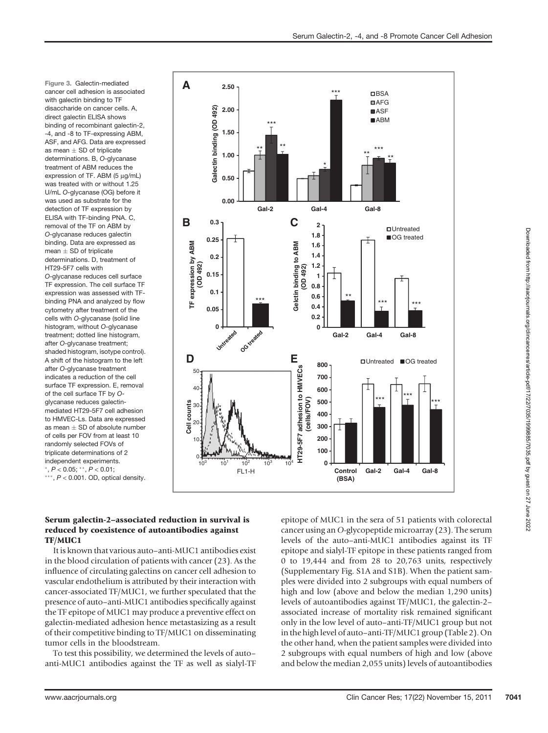Figure 3. Galectin-mediated cancer cell adhesion is associated with galectin binding to TF disaccharide on cancer cells. A, direct galectin ELISA shows binding of recombinant galectin-2, -4, and -8 to TF-expressing ABM, ASF, and AFG. Data are expressed as mean  $\pm$  SD of triplicate determinations. B, O-glycanase treatment of ABM reduces the expression of TF. ABM (5 µg/mL) was treated with or without 1.25 U/mL O-glycanase (OG) before it was used as substrate for the detection of TF expression by ELISA with TF-binding PNA. C, removal of the TF on ABM by O-glycanase reduces galectin binding. Data are expressed as mean  $\pm$  SD of triplicate determinations. D, treatment of HT29-5F7 cells with O-glycanase reduces cell surface

TF expression. The cell surface TF expression was assessed with TFbinding PNA and analyzed by flow cytometry after treatment of the cells with O-glycanase (solid line histogram, without O-glycanase treatment; dotted line histogram, after O-glycanase treatment; shaded histogram, isotype control). A shift of the histogram to the left after O-glycanase treatment indicates a reduction of the cell surface TF expression. E, removal of the cell surface TF by Oglycanase reduces galectinmediated HT29-5F7 cell adhesion to HMVEC-Ls. Data are expressed as mean  $\pm$  SD of absolute number of cells per FOV from at least 10 randomly selected FOVs of triplicate determinations of 2 independent experiments.  $P < 0.05$ ; \*\*,  $P < 0.01$ ;  $***$ ,  $P < 0.001$ . OD, optical density.



## Serum galectin-2–associated reduction in survival is reduced by coexistence of autoantibodies against TF/MUC1

It is known that various auto–anti-MUC1 antibodies exist in the blood circulation of patients with cancer (23). As the influence of circulating galectins on cancer cell adhesion to vascular endothelium is attributed by their interaction with cancer-associated TF/MUC1, we further speculated that the presence of auto–anti-MUC1 antibodies specifically against the TF epitope of MUC1 may produce a preventive effect on galectin-mediated adhesion hence metastasizing as a result of their competitive binding to TF/MUC1 on disseminating tumor cells in the bloodstream.

To test this possibility, we determined the levels of auto– anti-MUC1 antibodies against the TF as well as sialyl-TF

epitope of MUC1 in the sera of 51 patients with colorectal cancer using an O-glycopeptide microarray (23). The serum levels of the auto–anti-MUC1 antibodies against its TF epitope and sialyl-TF epitope in these patients ranged from 0 to 19,444 and from 28 to 20,763 units, respectively (Supplementary Fig. S1A and S1B). When the patient samples were divided into 2 subgroups with equal numbers of high and low (above and below the median 1,290 units) levels of autoantibodies against TF/MUC1, the galectin-2– associated increase of mortality risk remained significant only in the low level of auto–anti-TF/MUC1 group but not in the high level of auto–anti-TF/MUC1 group (Table 2). On the other hand, when the patient samples were divided into 2 subgroups with equal numbers of high and low (above and below the median 2,055 units) levels of autoantibodies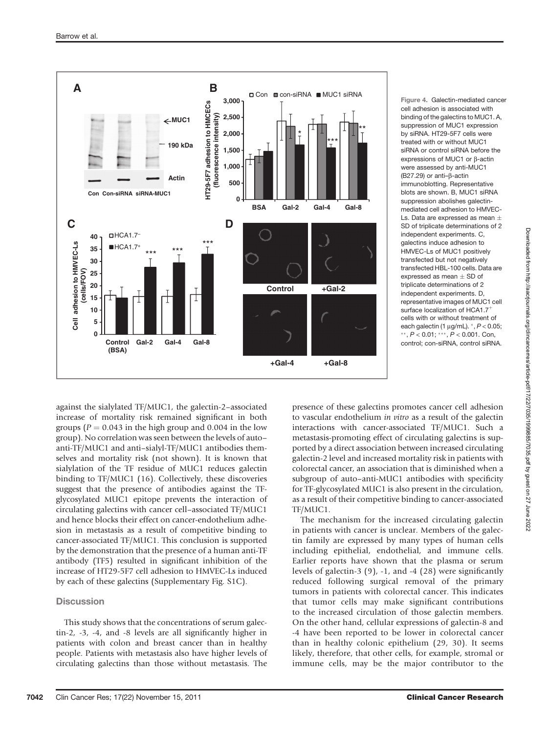

Figure 4. Galectin-mediated cancer cell adhesion is associated with binding of the galectins to MUC1. A, suppression of MUC1 expression by siRNA. HT29-5F7 cells were treated with or without MUC1 siRNA or control siRNA before the expressions of MUC1 or  $\beta$ -actin were assessed by anti-MUC1 (B27.29) or anti- $\beta$ -actin immunoblotting. Representative blots are shown. B, MUC1 siRNA suppression abolishes galectinmediated cell adhesion to HMVEC-Ls. Data are expressed as mean  $\pm$ SD of triplicate determinations of 2 independent experiments. C, galectins induce adhesion to HMVEC-Ls of MUC1 positively transfected but not negatively transfected HBL-100 cells. Data are expressed as mean  $\pm$  SD of triplicate determinations of 2 independent experiments. D, representative images of MUC1 cell surface localization of HCA1.7 cells with or without treatment of each galectin (1  $\mu$ g/mL).  $^{*}$ ,  $P$  < 0.05; \*\*,  $P < 0.01$ ; \*\*\*,  $P < 0.001$ . Con, control; con-siRNA, control siRNA.

against the sialylated TF/MUC1, the galectin-2–associated increase of mortality risk remained significant in both groups ( $P = 0.043$  in the high group and 0.004 in the low group). No correlation was seen between the levels of auto– anti-TF/MUC1 and anti–sialyl-TF/MUC1 antibodies themselves and mortality risk (not shown). It is known that sialylation of the TF residue of MUC1 reduces galectin binding to TF/MUC1 (16). Collectively, these discoveries suggest that the presence of antibodies against the TFglycosylated MUC1 epitope prevents the interaction of circulating galectins with cancer cell–associated TF/MUC1 and hence blocks their effect on cancer-endothelium adhesion in metastasis as a result of competitive binding to cancer-associated TF/MUC1. This conclusion is supported by the demonstration that the presence of a human anti-TF antibody (TF5) resulted in significant inhibition of the increase of HT29-5F7 cell adhesion to HMVEC-Ls induced by each of these galectins (Supplementary Fig. S1C).

# **Discussion**

This study shows that the concentrations of serum galectin-2, -3, -4, and -8 levels are all significantly higher in patients with colon and breast cancer than in healthy people. Patients with metastasis also have higher levels of circulating galectins than those without metastasis. The

presence of these galectins promotes cancer cell adhesion to vascular endothelium in vitro as a result of the galectin interactions with cancer-associated TF/MUC1. Such a metastasis-promoting effect of circulating galectins is supported by a direct association between increased circulating galectin-2 level and increased mortality risk in patients with colorectal cancer, an association that is diminished when a subgroup of auto–anti-MUC1 antibodies with specificity for TF-glycosylated MUC1 is also present in the circulation, as a result of their competitive binding to cancer-associated TF/MUC1.

The mechanism for the increased circulating galectin in patients with cancer is unclear. Members of the galectin family are expressed by many types of human cells including epithelial, endothelial, and immune cells. Earlier reports have shown that the plasma or serum levels of galectin-3 (9), -1, and -4 (28) were significantly reduced following surgical removal of the primary tumors in patients with colorectal cancer. This indicates that tumor cells may make significant contributions to the increased circulation of those galectin members. On the other hand, cellular expressions of galectin-8 and -4 have been reported to be lower in colorectal cancer than in healthy colonic epithelium (29, 30). It seems likely, therefore, that other cells, for example, stromal or immune cells, may be the major contributor to the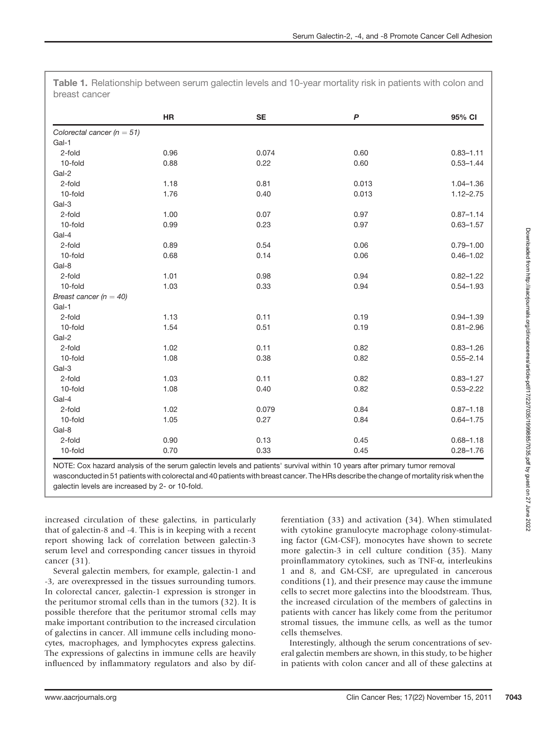|                                | HR   | <b>SE</b> | $\boldsymbol{P}$ | 95% CI        |
|--------------------------------|------|-----------|------------------|---------------|
| Colorectal cancer ( $n = 51$ ) |      |           |                  |               |
| Gal-1                          |      |           |                  |               |
| 2-fold                         | 0.96 | 0.074     | 0.60             | $0.83 - 1.11$ |
| 10-fold                        | 0.88 | 0.22      | 0.60             | $0.53 - 1.44$ |
| Gal-2                          |      |           |                  |               |
| 2-fold                         | 1.18 | 0.81      | 0.013            | $1.04 - 1.36$ |
| 10-fold                        | 1.76 | 0.40      | 0.013            | $1.12 - 2.75$ |
| Gal-3                          |      |           |                  |               |
| 2-fold                         | 1.00 | 0.07      | 0.97             | $0.87 - 1.14$ |
| 10-fold                        | 0.99 | 0.23      | 0.97             | $0.63 - 1.57$ |
| Gal-4                          |      |           |                  |               |
| 2-fold                         | 0.89 | 0.54      | 0.06             | $0.79 - 1.00$ |
| 10-fold                        | 0.68 | 0.14      | 0.06             | $0.46 - 1.02$ |
| Gal-8                          |      |           |                  |               |
| 2-fold                         | 1.01 | 0.98      | 0.94             | $0.82 - 1.22$ |
| 10-fold                        | 1.03 | 0.33      | 0.94             | $0.54 - 1.93$ |
| Breast cancer $(n = 40)$       |      |           |                  |               |
| Gal-1                          |      |           |                  |               |
| 2-fold                         | 1.13 | 0.11      | 0.19             | $0.94 - 1.39$ |
| 10-fold                        | 1.54 | 0.51      | 0.19             | $0.81 - 2.96$ |
| Gal-2                          |      |           |                  |               |
| 2-fold                         | 1.02 | 0.11      | 0.82             | $0.83 - 1.26$ |
| 10-fold                        | 1.08 | 0.38      | 0.82             | $0.55 - 2.14$ |
| Gal-3                          |      |           |                  |               |
| 2-fold                         | 1.03 | 0.11      | 0.82             | $0.83 - 1.27$ |
| 10-fold                        | 1.08 | 0.40      | 0.82             | $0.53 - 2.22$ |
| Gal-4                          |      |           |                  |               |
| 2-fold                         | 1.02 | 0.079     | 0.84             | $0.87 - 1.18$ |
| 10-fold                        | 1.05 | 0.27      | 0.84             | $0.64 - 1.75$ |
| Gal-8                          |      |           |                  |               |
| 2-fold                         | 0.90 | 0.13      | 0.45             | $0.68 - 1.18$ |
| 10-fold                        | 0.70 | 0.33      | 0.45             | $0.28 - 1.76$ |

Table 1. Relationship between serum galectin levels and 10-year mortality risk in patients with colon and breast cancer

NOTE: Cox hazard analysis of the serum galectin levels and patients' survival within 10 years after primary tumor removal wasconducted in 51 patients with colorectal and 40 patients with breast cancer. The HRs describe the change of mortality risk when the galectin levels are increased by 2- or 10-fold.

increased circulation of these galectins, in particularly that of galectin-8 and -4. This is in keeping with a recent report showing lack of correlation between galectin-3 serum level and corresponding cancer tissues in thyroid cancer (31).

Several galectin members, for example, galectin-1 and -3, are overexpressed in the tissues surrounding tumors. In colorectal cancer, galectin-1 expression is stronger in the peritumor stromal cells than in the tumors (32). It is possible therefore that the peritumor stromal cells may make important contribution to the increased circulation of galectins in cancer. All immune cells including monocytes, macrophages, and lymphocytes express galectins. The expressions of galectins in immune cells are heavily influenced by inflammatory regulators and also by differentiation (33) and activation (34). When stimulated with cytokine granulocyte macrophage colony-stimulating factor (GM-CSF), monocytes have shown to secrete more galectin-3 in cell culture condition (35). Many proinflammatory cytokines, such as TNF- $\alpha$ , interleukins 1 and 8, and GM-CSF, are upregulated in cancerous conditions (1), and their presence may cause the immune cells to secret more galectins into the bloodstream. Thus, the increased circulation of the members of galectins in patients with cancer has likely come from the peritumor stromal tissues, the immune cells, as well as the tumor cells themselves.

Interestingly, although the serum concentrations of several galectin members are shown, in this study, to be higher in patients with colon cancer and all of these galectins at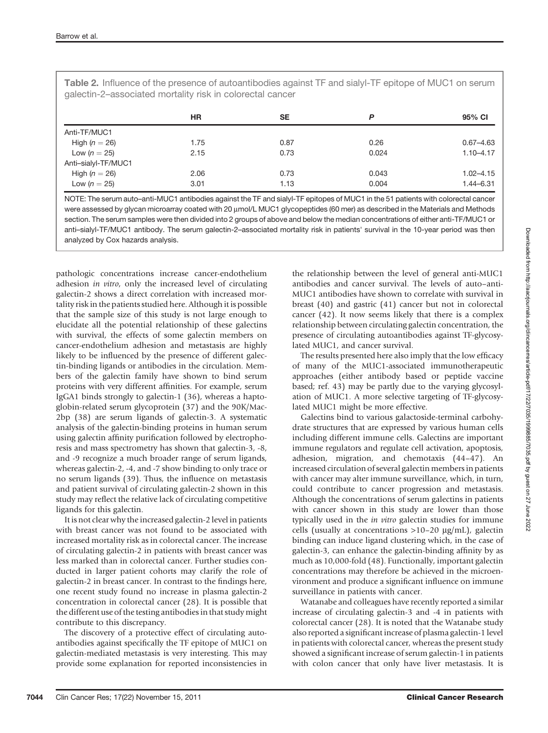| $\frac{1}{2}$ and $\frac{1}{2}$ and $\frac{1}{2}$ and $\frac{1}{2}$ and $\frac{1}{2}$ and $\frac{1}{2}$ and $\frac{1}{2}$ and $\frac{1}{2}$ and $\frac{1}{2}$ |      |      |       |               |  |  |
|---------------------------------------------------------------------------------------------------------------------------------------------------------------|------|------|-------|---------------|--|--|
|                                                                                                                                                               | ΗR   | SE   | D     | 95% CI        |  |  |
| Anti-TF/MUC1                                                                                                                                                  |      |      |       |               |  |  |
| High $(n = 26)$                                                                                                                                               | 1.75 | 0.87 | 0.26  | $0.67 - 4.63$ |  |  |
| Low $(n = 25)$                                                                                                                                                | 2.15 | 0.73 | 0.024 | $1.10 - 4.17$ |  |  |
| Anti-sialyl-TF/MUC1                                                                                                                                           |      |      |       |               |  |  |
| High $(n = 26)$                                                                                                                                               | 2.06 | 0.73 | 0.043 | $1.02 - 4.15$ |  |  |

Table 2. Influence of the presence of autoantibodies against TF and sialyl-TF epitope of MUC1 on serum galectin-2–associated mortality risk in colorectal cancer

NOTE: The serum auto–anti-MUC1 antibodies against the TF and sialyl-TF epitopes of MUC1 in the 51 patients with colorectal cancer were assessed by glycan microarray coated with 20 µmol/L MUC1 glycopeptides (60 mer) as described in the Materials and Methods section. The serum samples were then divided into 2 groups of above and below the median concentrations of either anti-TF/MUC1 or anti–sialyl-TF/MUC1 antibody. The serum galectin-2–associated mortality risk in patients' survival in the 10-year period was then analyzed by Cox hazards analysis.

Low  $(n = 25)$  3.01 3.01 1.13 0.004 1.44-6.31

pathologic concentrations increase cancer-endothelium adhesion in vitro, only the increased level of circulating galectin-2 shows a direct correlation with increased mortality risk in the patients studied here. Although it is possible that the sample size of this study is not large enough to elucidate all the potential relationship of these galectins with survival, the effects of some galectin members on cancer-endothelium adhesion and metastasis are highly likely to be influenced by the presence of different galectin-binding ligands or antibodies in the circulation. Members of the galectin family have shown to bind serum proteins with very different affinities. For example, serum IgGA1 binds strongly to galectin-1 (36), whereas a haptoglobin-related serum glycoprotein (37) and the 90K/Mac-2bp (38) are serum ligands of galectin-3. A systematic analysis of the galectin-binding proteins in human serum using galectin affinity purification followed by electrophoresis and mass spectrometry has shown that galectin-3, -8, and -9 recognize a much broader range of serum ligands, whereas galectin-2, -4, and -7 show binding to only trace or no serum ligands (39). Thus, the influence on metastasis and patient survival of circulating galectin-2 shown in this study may reflect the relative lack of circulating competitive ligands for this galectin.

It is not clear why the increased galectin-2 level in patients with breast cancer was not found to be associated with increased mortality risk as in colorectal cancer. The increase of circulating galectin-2 in patients with breast cancer was less marked than in colorectal cancer. Further studies conducted in larger patient cohorts may clarify the role of galectin-2 in breast cancer. In contrast to the findings here, one recent study found no increase in plasma galectin-2 concentration in colorectal cancer (28). It is possible that the different use of the testing antibodies in that study might contribute to this discrepancy.

The discovery of a protective effect of circulating autoantibodies against specifically the TF epitope of MUC1 on galectin-mediated metastasis is very interesting. This may provide some explanation for reported inconsistencies in the relationship between the level of general anti-MUC1 antibodies and cancer survival. The levels of auto–anti-MUC1 antibodies have shown to correlate with survival in breast (40) and gastric (41) cancer but not in colorectal cancer (42). It now seems likely that there is a complex relationship between circulating galectin concentration, the presence of circulating autoantibodies against TF-glycosylated MUC1, and cancer survival.

The results presented here also imply that the low efficacy of many of the MUC1-associated immunotherapeutic approaches (either antibody based or peptide vaccine based; ref. 43) may be partly due to the varying glycosylation of MUC1. A more selective targeting of TF-glycosylated MUC1 might be more effective.

Galectins bind to various galactoside-terminal carbohydrate structures that are expressed by various human cells including different immune cells. Galectins are important immune regulators and regulate cell activation, apoptosis, adhesion, migration, and chemotaxis (44–47). An increased circulation of several galectin members in patients with cancer may alter immune surveillance, which, in turn, could contribute to cancer progression and metastasis. Although the concentrations of serum galectins in patients with cancer shown in this study are lower than those typically used in the in vitro galectin studies for immune cells (usually at concentrations  $>10-20 \mu g/mL$ ), galectin binding can induce ligand clustering which, in the case of galectin-3, can enhance the galectin-binding affinity by as much as 10,000-fold (48). Functionally, important galectin concentrations may therefore be achieved in the microenvironment and produce a significant influence on immune surveillance in patients with cancer.

Watanabe and colleagues have recently reported a similar increase of circulating galectin-3 and -4 in patients with colorectal cancer (28). It is noted that the Watanabe study also reported a significant increase of plasma galectin-1 level in patients with colorectal cancer, whereas the present study showed a significant increase of serum galectin-1 in patients with colon cancer that only have liver metastasis. It is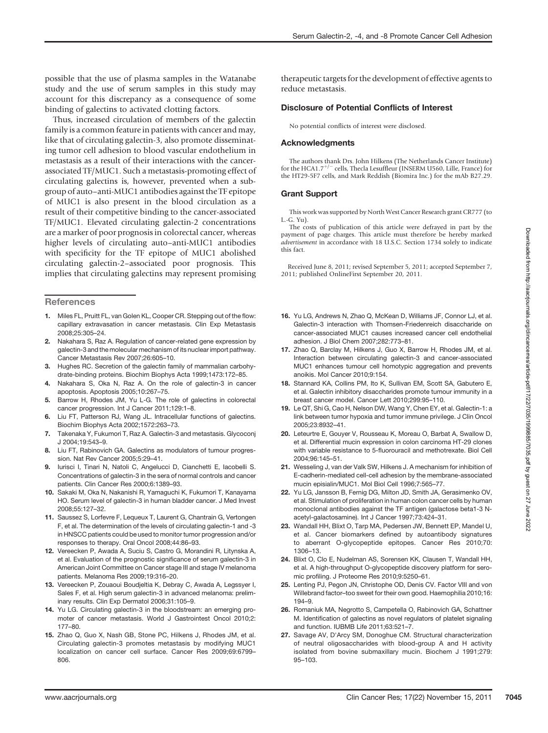possible that the use of plasma samples in the Watanabe study and the use of serum samples in this study may account for this discrepancy as a consequence of some binding of galectins to activated clotting factors.

Thus, increased circulation of members of the galectin family is a common feature in patients with cancer and may, like that of circulating galectin-3, also promote disseminating tumor cell adhesion to blood vascular endothelium in metastasis as a result of their interactions with the cancerassociated TF/MUC1. Such a metastasis-promoting effect of circulating galectins is, however, prevented when a subgroup of auto–anti-MUC1 antibodies against the TF epitope of MUC1 is also present in the blood circulation as a result of their competitive binding to the cancer-associated TF/MUC1. Elevated circulating galectin-2 concentrations are a marker of poor prognosis in colorectal cancer, whereas higher levels of circulating auto–anti-MUC1 antibodies with specificity for the TF epitope of MUC1 abolished circulating galectin-2–associated poor prognosis. This implies that circulating galectins may represent promising

#### **References**

- 1. Miles FL, Pruitt FL, van Golen KL, Cooper CR. Stepping out of the flow: capillary extravasation in cancer metastasis. Clin Exp Metastasis 2008;25:305–24.
- 2. Nakahara S, Raz A. Regulation of cancer-related gene expression by galectin-3 and the molecular mechanism of its nuclear import pathway. Cancer Metastasis Rev 2007;26:605–10.
- 3. Hughes RC. Secretion of the galectin family of mammalian carbohydrate-binding proteins. Biochim Biophys Acta 1999;1473:172–85.
- 4. Nakahara S, Oka N, Raz A. On the role of galectin-3 in cancer apoptosis. Apoptosis 2005;10:267–75.
- 5. Barrow H, Rhodes JM, Yu L-G. The role of galectins in colorectal cancer progression. Int J Cancer 2011;129:1–8.
- 6. Liu FT, Patterson RJ, Wang JL. Intracellular functions of galectins. Biochim Biophys Acta 2002;1572:263–73.
- 7. Takenaka Y, Fukumori T, Raz A. Galectin-3 and metastasis. Glycoconj J 2004;19:543–9.
- 8. Liu FT, Rabinovich GA, Galectins as modulators of tumour progression. Nat Rev Cancer 2005;5:29–41.
- 9. Iurisci I, Tinari N, Natoli C, Angelucci D, Cianchetti E, Iacobelli S. Concentrations of galectin-3 in the sera of normal controls and cancer patients. Clin Cancer Res 2000;6:1389–93.
- 10. Sakaki M, Oka N, Nakanishi R, Yamaguchi K, Fukumori T, Kanayama HO. Serum level of galectin-3 in human bladder cancer. J Med Invest 2008;55:127–32.
- 11. Saussez S, Lorfevre F, Lequeux T, Laurent G, Chantrain G, Vertongen F, et al. The determination of the levels of circulating galectin-1 and -3 in HNSCC patients could be used to monitor tumor progression and/or responses to therapy. Oral Oncol 2008;44:86–93.
- 12. Vereecken P, Awada A, Suciu S, Castro G, Morandini R, Litynska A, et al. Evaluation of the prognostic significance of serum galectin-3 in American Joint Committee on Cancer stage III and stage IV melanoma patients. Melanoma Res 2009;19:316–20.
- 13. Vereecken P, Zouaoui Boudjeltia K, Debray C, Awada A, Legssyer I, Sales F, et al. High serum galectin-3 in advanced melanoma: preliminary results. Clin Exp Dermatol 2006;31:105–9.
- 14. Yu LG. Circulating galectin-3 in the bloodstream: an emerging promoter of cancer metastasis. World J Gastrointest Oncol 2010;2: 177–80.
- 15. Zhao Q, Guo X, Nash GB, Stone PC, Hilkens J, Rhodes JM, et al. Circulating galectin-3 promotes metastasis by modifying MUC1 localization on cancer cell surface. Cancer Res 2009;69:6799– 806.

therapeutic targets for the development of effective agents to reduce metastasis.

#### Disclosure of Potential Conflicts of Interest

No potential conflicts of interest were disclosed.

#### Acknowledgments

The authors thank Drs. John Hilkens (The Netherlands Cancer Institute) for the HCA1.7<sup>+/-</sup> cells, Thecla Lesuffleur (INSERM U560, Lille, France) for the HT29-5F7 cells, and Mark Reddish (Biomira Inc.) for the mAb B27.29.

#### Grant Support

This work was supported by North West Cancer Research grant CR777 (to L.-G. Yu).

The costs of publication of this article were defrayed in part by the payment of page charges. This article must therefore be hereby marked advertisement in accordance with 18 U.S.C. Section 1734 solely to indicate this fact.

Received June 8, 2011; revised September 5, 2011; accepted September 7, 2011; published OnlineFirst September 20, 2011.

- 16. Yu LG, Andrews N, Zhao Q, McKean D, Williams JF, Connor LJ, et al. Galectin-3 interaction with Thomsen-Friedenreich disaccharide on cancer-associated MUC1 causes increased cancer cell endothelial adhesion. J Biol Chem 2007;282:773–81.
- 17. Zhao Q, Barclay M, Hilkens J, Guo X, Barrow H, Rhodes JM, et al. Interaction between circulating galectin-3 and cancer-associated MUC1 enhances tumour cell homotypic aggregation and prevents anoikis. Mol Cancer 2010;9:154.
- 18. Stannard KA, Collins PM, Ito K, Sullivan EM, Scott SA, Gabutero E, et al. Galectin inhibitory disaccharides promote tumour immunity in a breast cancer model. Cancer Lett 2010;299:95–110.
- 19. Le QT, Shi G, Cao H, Nelson DW, Wang Y, Chen EY, et al. Galectin-1: a link between tumor hypoxia and tumor immune privilege. J Clin Oncol 2005;23:8932–41.
- 20. Leteurtre E, Gouyer V, Rousseau K, Moreau O, Barbat A, Swallow D, et al. Differential mucin expression in colon carcinoma HT-29 clones with variable resistance to 5-fluorouracil and methotrexate. Biol Cell 2004;96:145–51.
- 21. Wesseling J, van der Valk SW, Hilkens J. A mechanism for inhibition of E-cadherin-mediated cell-cell adhesion by the membrane-associated mucin episialin/MUC1. Mol Biol Cell 1996;7:565–77.
- 22. Yu LG, Jansson B, Fernig DG, Milton JD, Smith JA, Gerasimenko OV, et al. Stimulation of proliferation in human colon cancer cells by human monoclonal antibodies against the TF antigen (galactose beta1-3 Nacetyl-galactosamine). Int J Cancer 1997;73:424–31.
- 23. Wandall HH, Blixt O, Tarp MA, Pedersen JW, Bennett EP, Mandel U, et al. Cancer biomarkers defined by autoantibody signatures to aberrant O-glycopeptide epitopes. Cancer Res 2010;70: 1306–13.
- 24. Blixt O, Clo E, Nudelman AS, Sorensen KK, Clausen T, Wandall HH, et al. A high-throughput O-glycopeptide discovery platform for seromic profiling. J Proteome Res 2010;9:5250–61.
- 25. Lenting PJ, Pegon JN, Christophe OD, Denis CV. Factor VIII and von Willebrand factor–too sweet for their own good. Haemophilia 2010;16: 194–9.
- 26. Romaniuk MA, Negrotto S, Campetella O, Rabinovich GA, Schattner M. Identification of galectins as novel regulators of platelet signaling and function. IUBMB Life 2011;63:521–7.
- 27. Savage AV, D'Arcy SM, Donoghue CM. Structural characterization of neutral oligosaccharides with blood-group A and H activity isolated from bovine submaxillary mucin. Biochem J 1991;279: 95–103.